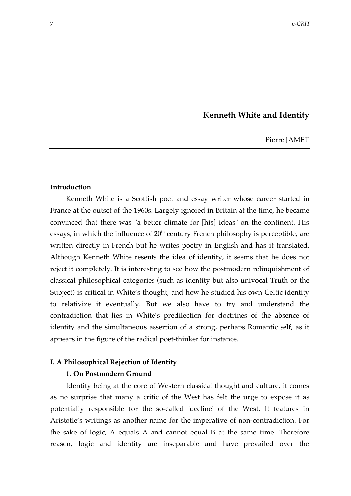# **Kenneth White and Identity**

Pierre JAMET

# **Introduction**

Kenneth White is a Scottish poet and essay writer whose career started in France at the outset of the 1960s. Largely ignored in Britain at the time, he became convinced that there was "a better climate for [his] ideas" on the continent. His essays, in which the influence of  $20<sup>th</sup>$  century French philosophy is perceptible, are written directly in French but he writes poetry in English and has it translated. Although Kenneth White resents the idea of identity, it seems that he does not reject it completely. It is interesting to see how the postmodern relinquishment of classical philosophical categories (such as identity but also univocal Truth or the Subject) is critical in White's thought, and how he studied his own Celtic identity to relativize it eventually. But we also have to try and understand the contradiction that lies in White's predilection for doctrines of the absence of identity and the simultaneous assertion of a strong, perhaps Romantic self, as it appears in the figure of the radical poet-thinker for instance.

## **I. A Philosophical Rejection of Identity**

## **1. On Postmodern Ground**

Identity being at the core of Western classical thought and culture, it comes as no surprise that many a critic of the West has felt the urge to expose it as potentially responsible for the so-called 'decline' of the West. It features in Aristotle's writings as another name for the imperative of non-contradiction. For the sake of logic, A equals A and cannot equal B at the same time. Therefore reason, logic and identity are inseparable and have prevailed over the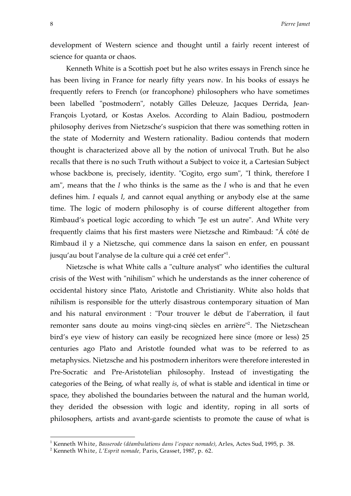development of Western science and thought until a fairly recent interest of science for quanta or chaos.

Kenneth White is a Scottish poet but he also writes essays in French since he has been living in France for nearly fifty years now. In his books of essays he frequently refers to French (or francophone) philosophers who have sometimes been labelled "postmodern", notably Gilles Deleuze, Jacques Derrida, Jean-François Lyotard, or Kostas Axelos. According to Alain Badiou, postmodern philosophy derives from Nietzsche's suspicion that there was something rotten in the state of Modernity and Western rationality. Badiou contends that modern thought is characterized above all by the notion of univocal Truth. But he also recalls that there is no such Truth without a Subject to voice it, a Cartesian Subject whose backbone is, precisely, identity. "Cogito, ergo sum", "I think, therefore I am", means that the *I* who thinks is the same as the *I* who is and that he even defines him. *I* equals *I*, and cannot equal anything or anybody else at the same time. The logic of modern philosophy is of course different altogether from Rimbaud's poetical logic according to which "Je est un autre". And White very frequently claims that his first masters were Nietzsche and Rimbaud: "Á côté de Rimbaud il y a Nietzsche, qui commence dans la saison en enfer, en poussant jusqu'au bout l'analyse de la culture qui a créé cet enfer"1 .

Nietzsche is what White calls a "culture analyst" who identifies the cultural crisis of the West with "nihilism" which he understands as the inner coherence of occidental history since Plato, Aristotle and Christianity. White also holds that nihilism is responsible for the utterly disastrous contemporary situation of Man and his natural environment : "Pour trouver le début de l'aberration, il faut remonter sans doute au moins vingt-cinq siècles en arrière"<sup>2</sup>. The Nietzschean bird's eye view of history can easily be recognized here since (more or less) 25 centuries ago Plato and Aristotle founded what was to be referred to as metaphysics. Nietzsche and his postmodern inheritors were therefore interested in Pre-Socratic and Pre-Aristotelian philosophy. Instead of investigating the categories of the Being, of what really *is*, of what is stable and identical in time or space, they abolished the boundaries between the natural and the human world, they derided the obsession with logic and identity, roping in all sorts of philosophers, artists and avant-garde scientists to promote the cause of what is

<sup>1</sup> Kenneth White, *Basserode (déambulations dans l'espace nomade)*, Arles, Actes Sud, 1995, p. 38.

<sup>2</sup> Kenneth White, *L'Esprit nomade,* Paris, Grasset, 1987, p. 62.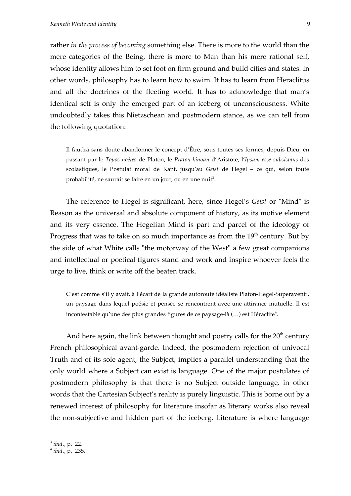rather *in the process of becoming* something else. There is more to the world than the mere categories of the Being, there is more to Man than his mere rational self, whose identity allows him to set foot on firm ground and build cities and states. In other words, philosophy has to learn how to swim. It has to learn from Heraclitus and all the doctrines of the fleeting world. It has to acknowledge that man's identical self is only the emerged part of an iceberg of unconsciousness. White undoubtedly takes this Nietzschean and postmodern stance, as we can tell from the following quotation:

Il faudra sans doute abandonner le concept d'Être, sous toutes ses formes, depuis Dieu, en passant par le *Topos noétes* de Platon, le *Praton kinoun* d'Aristote, l'*Ipsum esse subsistans* des scolastiques, le Postulat moral de Kant, jusqu'au *Geist* de Hegel – ce qui, selon toute probabilité, ne saurait se faire en un jour, ou en une nuit<sup>3</sup>.

The reference to Hegel is significant, here, since Hegel's *Geist* or "Mind" is Reason as the universal and absolute component of history, as its motive element and its very essence. The Hegelian Mind is part and parcel of the ideology of Progress that was to take on so much importance as from the  $19<sup>th</sup>$  century. But by the side of what White calls "the motorway of the West" a few great companions and intellectual or poetical figures stand and work and inspire whoever feels the urge to live, think or write off the beaten track.

C'est comme s'il y avait, à l'écart de la grande autoroute idéaliste Platon-Hegel-Superavenir, un paysage dans lequel poésie et pensée se rencontrent avec une attirance mutuelle. Il est incontestable qu'une des plus grandes figures de ce paysage-là (...) est Héraclite<sup>4</sup>.

And here again, the link between thought and poetry calls for the  $20<sup>th</sup>$  century French philosophical avant-garde. Indeed, the postmodern rejection of univocal Truth and of its sole agent, the Subject, implies a parallel understanding that the only world where a Subject can exist is language. One of the major postulates of postmodern philosophy is that there is no Subject outside language, in other words that the Cartesian Subject's reality is purely linguistic. This is borne out by a renewed interest of philosophy for literature insofar as literary works also reveal the non-subjective and hidden part of the iceberg. Literature is where language

<sup>3</sup> *ibid*., p. 22.

<sup>4</sup> *ibid*., p. 235.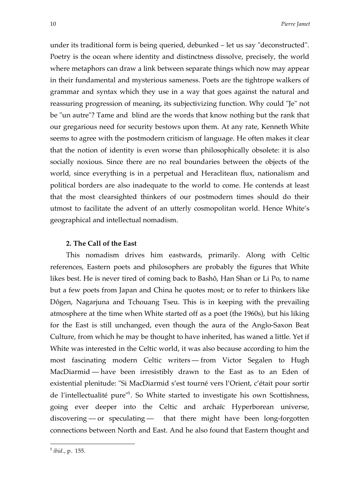under its traditional form is being queried, debunked – let us say "deconstructed". Poetry is the ocean where identity and distinctness dissolve, precisely, the world where metaphors can draw a link between separate things which now may appear in their fundamental and mysterious sameness. Poets are the tightrope walkers of grammar and syntax which they use in a way that goes against the natural and reassuring progression of meaning, its subjectivizing function. Why could "Je" not be "un autre"? Tame and blind are the words that know nothing but the rank that our gregarious need for security bestows upon them. At any rate, Kenneth White seems to agree with the postmodern criticism of language. He often makes it clear that the notion of identity is even worse than philosophically obsolete: it is also socially noxious. Since there are no real boundaries between the objects of the world, since everything is in a perpetual and Heraclitean flux, nationalism and political borders are also inadequate to the world to come. He contends at least that the most clearsighted thinkers of our postmodern times should do their utmost to facilitate the advent of an utterly cosmopolitan world. Hence White's geographical and intellectual nomadism.

# **2. The Call of the East**

This nomadism drives him eastwards, primarily. Along with Celtic references, Eastern poets and philosophers are probably the figures that White likes best. He is never tired of coming back to Bashô, Han Shan or Li Po, to name but a few poets from Japan and China he quotes most; or to refer to thinkers like Dôgen, Nagarjuna and Tchouang Tseu. This is in keeping with the prevailing atmosphere at the time when White started off as a poet (the 1960s), but his liking for the East is still unchanged, even though the aura of the Anglo-Saxon Beat Culture, from which he may be thought to have inherited, has waned a little. Yet if White was interested in the Celtic world, it was also because according to him the most fascinating modern Celtic writers — from Victor Segalen to Hugh MacDiarmid — have been irresistibly drawn to the East as to an Eden of existential plenitude: "Si MacDiarmid s'est tourné vers l'Orient, c'était pour sortir de l'intellectualité pure"5 . So White started to investigate his own Scottishness, going ever deeper into the Celtic and archaïc Hyperborean universe, discovering — or speculating — that there might have been long-forgotten connections between North and East. And he also found that Eastern thought and

<sup>5</sup> *ibid*., p. 155.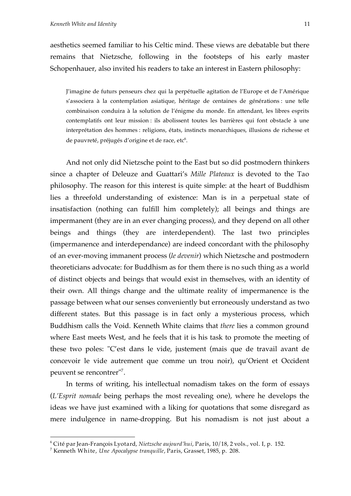aesthetics seemed familiar to his Celtic mind. These views are debatable but there remains that Nietzsche, following in the footsteps of his early master Schopenhauer, also invited his readers to take an interest in Eastern philosophy:

J'imagine de futurs penseurs chez qui la perpétuelle agitation de l'Europe et de l'Amérique s'associera à la contemplation asiatique, héritage de centaines de générations : une telle combinaison conduira à la solution de l'énigme du monde. En attendant, les libres esprits contemplatifs ont leur mission : ils abolissent toutes les barrières qui font obstacle à une interprétation des hommes : religions, états, instincts monarchiques, illusions de richesse et de pauvreté, préjugés d'origine et de race, etc<sup>6</sup>.

And not only did Nietzsche point to the East but so did postmodern thinkers since a chapter of Deleuze and Guattari's *Mille Plateaux* is devoted to the Tao philosophy. The reason for this interest is quite simple: at the heart of Buddhism lies a threefold understanding of existence: Man is in a perpetual state of insatisfaction (nothing can fulfill him completely); all beings and things are impermanent (they are in an ever changing process), and they depend on all other beings and things (they are interdependent). The last two principles (impermanence and interdependance) are indeed concordant with the philosophy of an ever-moving immanent process (*le devenir*) which Nietzsche and postmodern theoreticians advocate: for Buddhism as for them there is no such thing as a world of distinct objects and beings that would exist in themselves, with an identity of their own. All things change and the ultimate reality of impermanence is the passage between what our senses conveniently but erroneously understand as two different states. But this passage is in fact only a mysterious process, which Buddhism calls the Void. Kenneth White claims that *there* lies a common ground where East meets West, and he feels that it is his task to promote the meeting of these two poles: "C'est dans le vide, justement (mais que de travail avant de concevoir le vide autrement que comme un trou noir), qu'Orient et Occident peuvent se rencontrer"7 .

In terms of writing, his intellectual nomadism takes on the form of essays (*L'Esprit nomade* being perhaps the most revealing one), where he develops the ideas we have just examined with a liking for quotations that some disregard as mere indulgence in name-dropping. But his nomadism is not just about a

<sup>6</sup> Cité par Jean-François Lyotard, *Nietzsche aujourd'hui*, Paris, 10/18, 2 vols., vol. I, p. 152.

<sup>7</sup> Kenneth White, *Une Apocalypse tranquille*, Paris, Grasset, 1985, p. 208.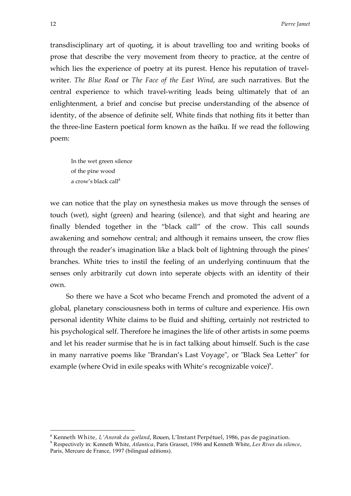transdisciplinary art of quoting, it is about travelling too and writing books of prose that describe the very movement from theory to practice, at the centre of which lies the experience of poetry at its purest. Hence his reputation of travelwriter. *The Blue Road* or *The Face of the East Wind*, are such narratives. But the central experience to which travel-writing leads being ultimately that of an enlightenment, a brief and concise but precise understanding of the absence of identity, of the absence of definite self, White finds that nothing fits it better than the three-line Eastern poetical form known as the haïku. If we read the following poem:

In the wet green silence of the pine wood a crow's black call<sup>8</sup>

we can notice that the play on synesthesia makes us move through the senses of touch (wet), sight (green) and hearing (silence), and that sight and hearing are finally blended together in the "black call" of the crow. This call sounds awakening and somehow central; and although it remains unseen, the crow flies through the reader's imagination like a black bolt of lightning through the pines' branches. White tries to instil the feeling of an underlying continuum that the senses only arbitrarily cut down into seperate objects with an identity of their own.

So there we have a Scot who became French and promoted the advent of a global, planetary consciousness both in terms of culture and experience. His own personal identity White claims to be fluid and shifting, certainly not restricted to his psychological self. Therefore he imagines the life of other artists in some poems and let his reader surmise that he is in fact talking about himself. Such is the case in many narrative poems like "Brandan's Last Voyage", or "Black Sea Letter" for example (where Ovid in exile speaks with White's recognizable voice)<sup>9</sup>.

<sup>8</sup> Kenneth White, *L'Anorak du goéland*, Rouen, L'Instant Perpétuel, 1986, pas de pagination. <sup>9</sup>

Respectively in: Kenneth White, *Atlantica*, Paris Grasset, 1986 and Kenneth White, *Les Rives du silence*, Paris, Mercure de France, 1997 (bilingual editions).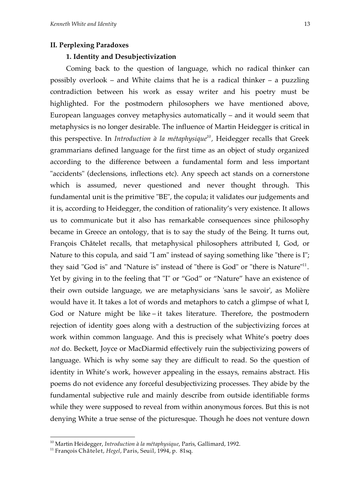### **II. Perplexing Paradoxes**

### **1. Identity and Desubjectivization**

Coming back to the question of language, which no radical thinker can possibly overlook – and White claims that he is a radical thinker – a puzzling contradiction between his work as essay writer and his poetry must be highlighted. For the postmodern philosophers we have mentioned above, European languages convey metaphysics automatically – and it would seem that metaphysics is no longer desirable. The influence of Martin Heidegger is critical in this perspective. In *Introduction à la métaphysique10,* Heidegger recalls that Greek grammarians defined language for the first time as an object of study organized according to the difference between a fundamental form and less important "accidents" (declensions, inflections etc). Any speech act stands on a cornerstone which is assumed, never questioned and never thought through. This fundamental unit is the primitive "BE", the copula; it validates our judgements and it is, according to Heidegger, the condition of rationality's very existence. It allows us to communicate but it also has remarkable consequences since philosophy became in Greece an ontology, that is to say the study of the Being. It turns out, François Châtelet recalls, that metaphysical philosophers attributed I, God, or Nature to this copula, and said "I am" instead of saying something like "there is I"; they said "God is" and "Nature is" instead of "there is God" or "there is Nature"11. Yet by giving in to the feeling that "I" or "God" or "Nature" have an existence of their own outside language, we are metaphysicians 'sans le savoir', as Molière would have it. It takes a lot of words and metaphors to catch a glimpse of what I, God or Nature might be like – it takes literature. Therefore, the postmodern rejection of identity goes along with a destruction of the subjectivizing forces at work within common language. And this is precisely what White's poetry does *not* do. Beckett, Joyce or MacDiarmid effectively ruin the subjectivizing powers of language. Which is why some say they are difficult to read. So the question of identity in White's work, however appealing in the essays, remains abstract. His poems do not evidence any forceful desubjectivizing processes. They abide by the fundamental subjective rule and mainly describe from outside identifiable forms while they were supposed to reveal from within anonymous forces. But this is not denying White a true sense of the picturesque. Though he does not venture down

<sup>10</sup> Martin Heidegger, *Introduction à la métaphysique*, Paris, Gallimard, 1992.

<sup>11</sup> François Châtelet, *Hegel*, Paris, Seuil, 1994, p. 81sq.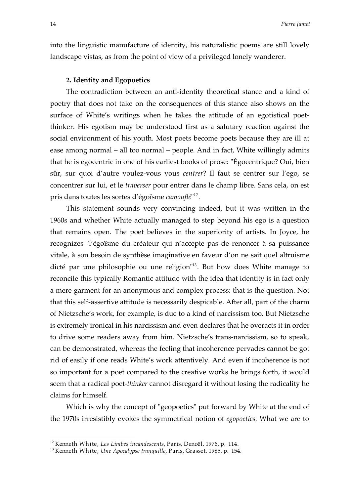into the linguistic manufacture of identity, his naturalistic poems are still lovely landscape vistas, as from the point of view of a privileged lonely wanderer.

### **2. Identity and Egopoetics**

The contradiction between an anti-identity theoretical stance and a kind of poetry that does not take on the consequences of this stance also shows on the surface of White's writings when he takes the attitude of an egotistical poetthinker. His egotism may be understood first as a salutary reaction against the social environment of his youth. Most poets become poets because they are ill at ease among normal – all too normal – people. And in fact, White willingly admits that he is egocentric in one of his earliest books of prose: "Égocentrique? Oui, bien sûr, sur quoi d'autre voulez-vous vous *centrer*? Il faut se centrer sur l'ego, se concentrer sur lui, et le *traverser* pour entrer dans le champ libre. Sans cela, on est pris dans toutes les sortes d'égoïsme *camouflé*" *12.*

This statement sounds very convincing indeed, but it was written in the 1960s and whether White actually managed to step beyond his ego is a question that remains open. The poet believes in the superiority of artists. In Joyce, he recognizes "l'égoïsme du créateur qui n'accepte pas de renoncer à sa puissance vitale, à son besoin de synthèse imaginative en faveur d'on ne sait quel altruisme dicté par une philosophie ou une religion<sup>113</sup>. But how does White manage to reconcile this typically Romantic attitude with the idea that identity is in fact only a mere garment for an anonymous and complex process: that is the question. Not that this self-assertive attitude is necessarily despicable. After all, part of the charm of Nietzsche's work, for example, is due to a kind of narcissism too. But Nietzsche is extremely ironical in his narcissism and even declares that he overacts it in order to drive some readers away from him. Nietzsche's trans-narcissism, so to speak, can be demonstrated, whereas the feeling that incoherence pervades cannot be got rid of easily if one reads White's work attentively. And even if incoherence is not so important for a poet compared to the creative works he brings forth, it would seem that a radical poet-*thinker* cannot disregard it without losing the radicality he claims for himself.

Which is why the concept of "geopoetics" put forward by White at the end of the 1970s irresistibly evokes the symmetrical notion of *egopoetics*. What we are to

<sup>12</sup> Kenneth White, *Les Limbes incandescents*, Paris, Denoël, 1976, p. 114.

<sup>13</sup> Kenneth White, *Une Apocalypse tranquille*, Paris, Grasset, 1985, p. 154.